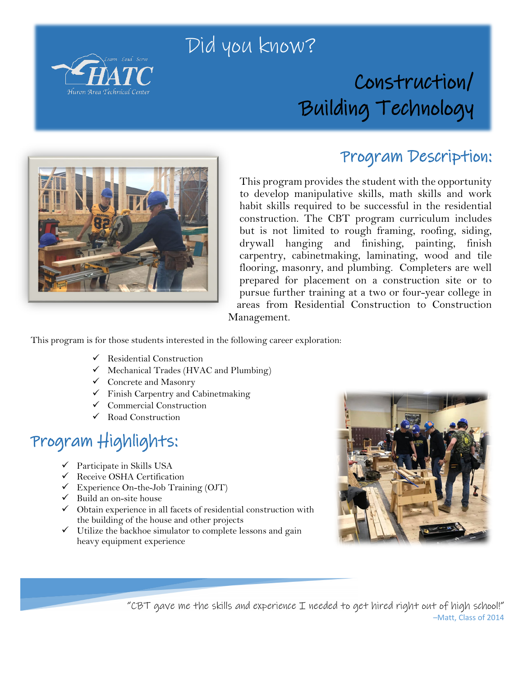

## Did you know?

## Construction/ Building Technology



#### Program Description:

This program provides the student with the opportunity to develop manipulative skills, math skills and work habit skills required to be successful in the residential construction. The CBT program curriculum includes but is not limited to rough framing, roofing, siding, drywall hanging and finishing, painting, finish carpentry, cabinetmaking, laminating, wood and tile flooring, masonry, and plumbing. Completers are well prepared for placement on a construction site or to pursue further training at a two or four-year college in areas from Residential Construction to Construction Management.

This program is for those students interested in the following career exploration:

- $\checkmark$  Residential Construction
- $\checkmark$  Mechanical Trades (HVAC and Plumbing)
- Concrete and Masonry
- $\checkmark$  Finish Carpentry and Cabinetmaking
- $\checkmark$  Commercial Construction
- Road Construction

## Program Highlights:

- $\checkmark$  Participate in Skills USA
- Receive OSHA Certification
- $\checkmark$  Experience On-the-Job Training (OJT)
- $\checkmark$  Build an on-site house
- $\checkmark$  Obtain experience in all facets of residential construction with the building of the house and other projects
- $\checkmark$  Utilize the backhoe simulator to complete lessons and gain heavy equipment experience



"CBT gave me the skills and experience I needed to get hired right out of high school!" –Matt, Class of 2014